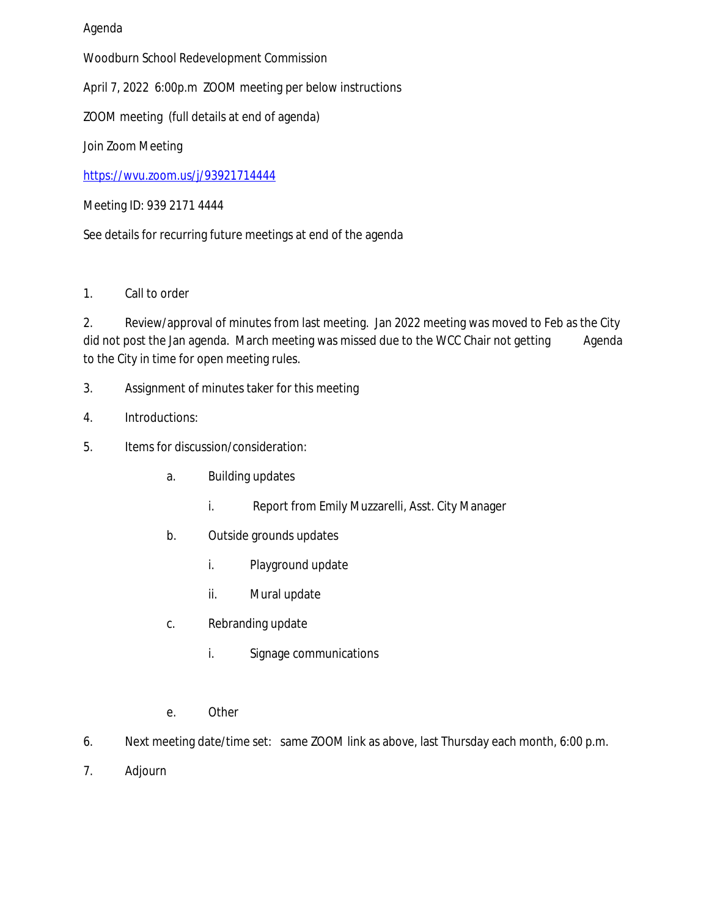## Agenda

Woodburn School Redevelopment Commission

April 7, 2022 6:00p.m ZOOM meeting per below instructions

ZOOM meeting (full details at end of agenda)

Join Zoom Meeting

<https://wvu.zoom.us/j/93921714444>

Meeting ID: 939 2171 4444

See details for recurring future meetings at end of the agenda

1. Call to order

2. Review/approval of minutes from last meeting. Jan 2022 meeting was moved to Feb as the City did not post the Jan agenda. March meeting was missed due to the WCC Chair not getting Agenda to the City in time for open meeting rules.

- 3. Assignment of minutes taker for this meeting
- 4. Introductions:
- 5. Items for discussion/consideration:
	- a. Building updates
		- i. Report from Emily Muzzarelli, Asst. City Manager
	- b. Outside grounds updates
		- i. Playground update
		- ii. Mural update
	- c. Rebranding update
		- i. Signage communications
	- e. Other
- 6. Next meeting date/time set: same ZOOM link as above, last Thursday each month, 6:00 p.m.
- 7. Adjourn